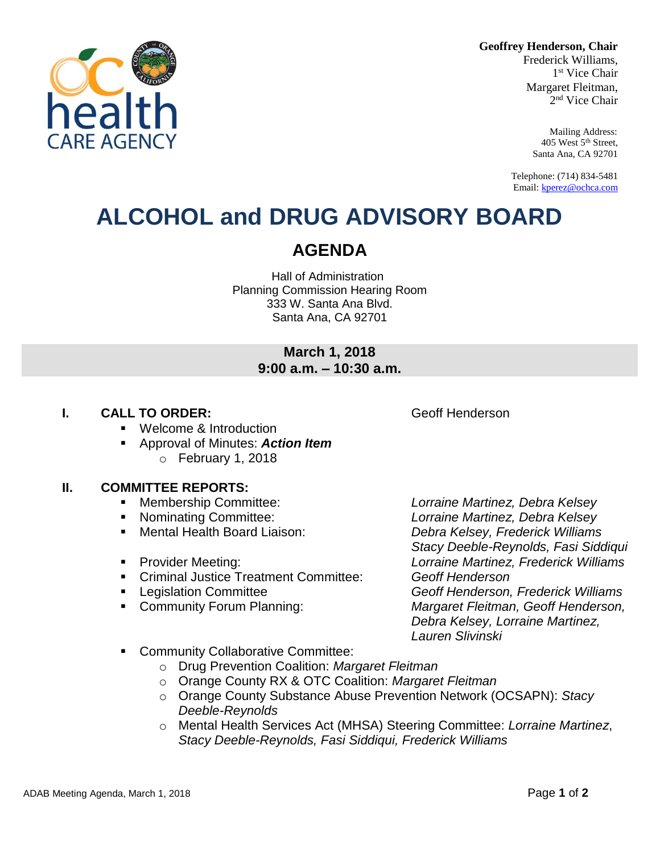**Geoffrey Henderson, Chair**

Frederick Williams, 1 st Vice Chair Margaret Fleitman, 2 nd Vice Chair

> Mailing Address: 405 West 5th Street, Santa Ana, CA 92701

Telephone: (714) 834-5481 Email[: kperez@ochca.com](mailto:kperez@ochca.com)

## **ALCOHOL and DRUG ADVISORY BOARD**

## **AGENDA**

Hall of Administration Planning Commission Hearing Room 333 W. Santa Ana Blvd. Santa Ana, CA 92701

### **March 1, 2018 9:00 a.m. – 10:30 a.m.**

### **I. CALL TO ORDER: CALL TO ORDER: CALL ACCESS Geoff Henderson**

- **Welcome & Introduction**
- Approval of Minutes: *Action Item*  $\circ$  February 1, 2018

### **II. COMMITTEE REPORTS:**

- Membership Committee: *Lorraine Martinez, Debra Kelsey*
- 
- 
- 
- Criminal Justice Treatment Committee: *Geoff Henderson*
- 
- 

 Nominating Committee: *Lorraine Martinez, Debra Kelsey* Mental Health Board Liaison: *Debra Kelsey, Frederick Williams Stacy Deeble-Reynolds, Fasi Siddiqui*  Provider Meeting: *Lorraine Martinez, Frederick Williams* Legislation Committee *Geoff Henderson, Frederick Williams* Community Forum Planning: *Margaret Fleitman, Geoff Henderson, Debra Kelsey, Lorraine Martinez, Lauren Slivinski*

- **EXECOMMUNITY Collaborative Committee:** 
	- o Drug Prevention Coalition: *Margaret Fleitman*
	- o Orange County RX & OTC Coalition: *Margaret Fleitman*
	- o Orange County Substance Abuse Prevention Network (OCSAPN): *Stacy Deeble-Reynolds*
	- o Mental Health Services Act (MHSA) Steering Committee: *Lorraine Martinez*, *Stacy Deeble-Reynolds, Fasi Siddiqui, Frederick Williams*